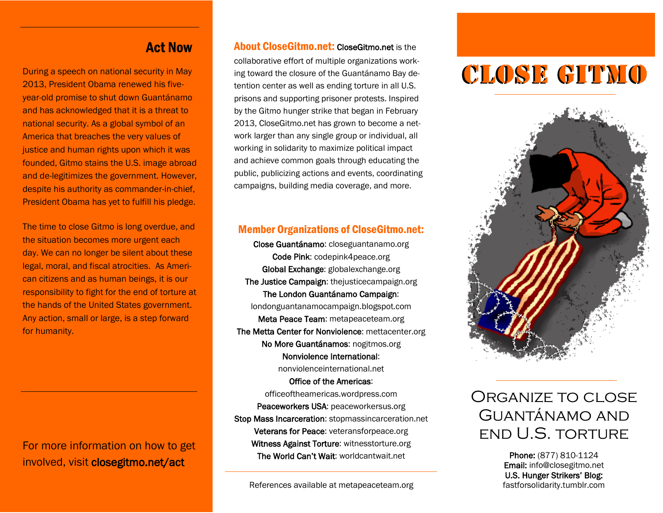#### Act Now

2013, President Obama renewed his fiveyear-old promise to shut down Guantánamo and has acknowledged that it is a threat to national security. As a global symbol of an America that breaches the very values of justice and human rights upon which it was founded, Gitmo stains the U.S. image abroad and de-legitimizes the government. However, despite his authority as commander-in-chief, President Obama has yet to fulfill his pledge.

The time to close Gitmo is long overdue, and the situation becomes more urgent each day. We can no longer be silent about these legal, moral, and fiscal atrocities. As American citizens and as human beings, it is our responsibility to fight for the end of torture at the hands of the United States government. Any action, small or large, is a step forward for humanity.

For more information on how to get involved, visit closegitmo.net/act

#### About CloseGitmo.net: CloseGitmo.net is the

During a speech on national security in May ing toward the closure of the Guantánamo Bay de-<br>2012, Precident Obama renoved bis five collaborative effort of multiple organizations working toward the closure of the Guantánamo Bay detention center as well as ending torture in all U.S. prisons and supporting prisoner protests. Inspired by the Gitmo hunger strike that began in February 2013, CloseGitmo.net has grown to become a network larger than any single group or individual, all working in solidarity to maximize political impact and achieve common goals through educating the public, publicizing actions and events, coordinating campaigns, building media coverage, and more.

#### Member Organizations of CloseGitmo.net:

Close Guantánamo: closeguantanamo.org Code Pink: codepink4peace.org Global Exchange: globalexchange.org The Justice Campaign: thejusticecampaign.org The London Guantánamo Campaign: londonguantanamocampaign.blogspot.com Meta Peace Team: metapeaceteam.org The Metta Center for Nonviolence: mettacenter.org No More Guantánamos: nogitmos.org Nonviolence International:

nonviolenceinternational.net Office of the Americas: officeoftheamericas.wordpress.com Peaceworkers USA: peaceworkersus.org Stop Mass Incarceration: stopmassincarceration.net Veterans for Peace: veteransforpeace.org Witness Against Torture: witnesstorture.org The World Can't Wait: worldcantwait.net



## Organize to close Guantánamo and end U.S. torture

Phone: (877) 810-1124 Email: info@closegitmo.net U.S. Hunger Strikers' Blog: fastforsolidarity.tumblr.com